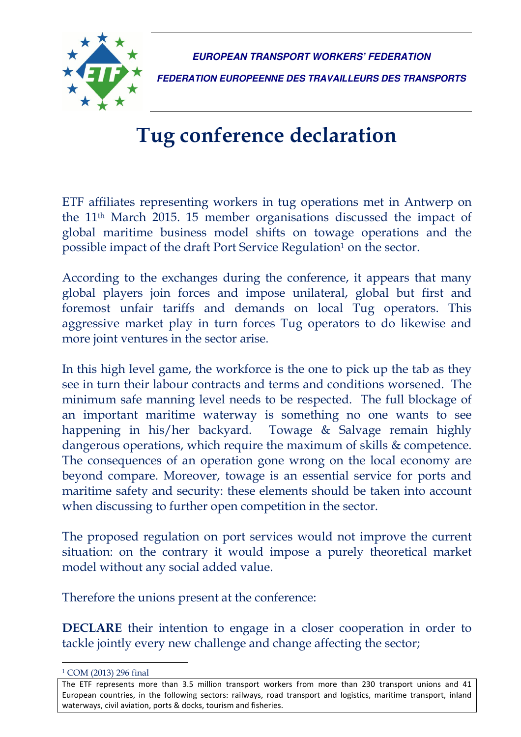

**EUROPEAN TRANSPORT WORKERS' FEDERATION** 

**FEDERATION EUROPEENNE DES TRAVAILLEURS DES TRANSPORTS** 

## Tug conference declaration

ETF affiliates representing workers in tug operations met in Antwerp on the 11th March 2015. 15 member organisations discussed the impact of global maritime business model shifts on towage operations and the possible impact of the draft Port Service Regulation<sup>1</sup> on the sector.

According to the exchanges during the conference, it appears that many global players join forces and impose unilateral, global but first and foremost unfair tariffs and demands on local Tug operators. This aggressive market play in turn forces Tug operators to do likewise and more joint ventures in the sector arise.

In this high level game, the workforce is the one to pick up the tab as they see in turn their labour contracts and terms and conditions worsened. The minimum safe manning level needs to be respected. The full blockage of an important maritime waterway is something no one wants to see happening in his/her backyard. Towage & Salvage remain highly dangerous operations, which require the maximum of skills & competence. The consequences of an operation gone wrong on the local economy are beyond compare. Moreover, towage is an essential service for ports and maritime safety and security: these elements should be taken into account when discussing to further open competition in the sector.

The proposed regulation on port services would not improve the current situation: on the contrary it would impose a purely theoretical market model without any social added value.

Therefore the unions present at the conference:

DECLARE their intention to engage in a closer cooperation in order to tackle jointly every new challenge and change affecting the sector;

 $\overline{a}$ 

<sup>1</sup> COM (2013) 296 final

The ETF represents more than 3.5 million transport workers from more than 230 transport unions and 41 European countries, in the following sectors: railways, road transport and logistics, maritime transport, inland waterways, civil aviation, ports & docks, tourism and fisheries.